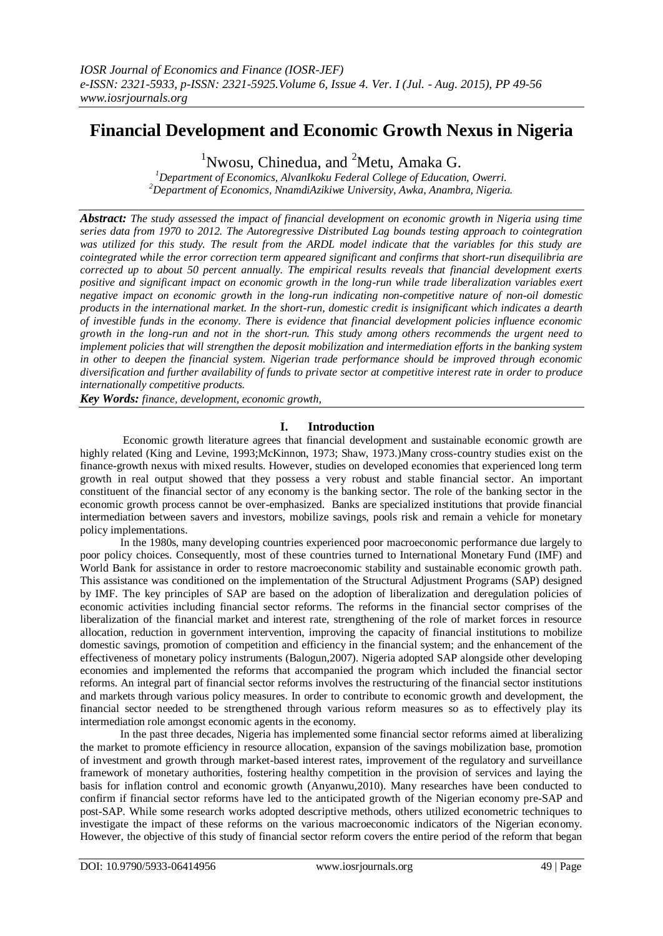# **Financial Development and Economic Growth Nexus in Nigeria**

<sup>1</sup>Nwosu, Chinedua, and  ${}^{2}$ Metu, Amaka G.

*<sup>1</sup>Department of Economics, AlvanIkoku Federal College of Education, Owerri. <sup>2</sup>Department of Economics, NnamdiAzikiwe University, Awka, Anambra, Nigeria.*

*Abstract: The study assessed the impact of financial development on economic growth in Nigeria using time series data from 1970 to 2012. The Autoregressive Distributed Lag bounds testing approach to cointegration was utilized for this study. The result from the ARDL model indicate that the variables for this study are cointegrated while the error correction term appeared significant and confirms that short-run disequilibria are corrected up to about 50 percent annually. The empirical results reveals that financial development exerts positive and significant impact on economic growth in the long-run while trade liberalization variables exert negative impact on economic growth in the long-run indicating non-competitive nature of non-oil domestic products in the international market. In the short-run, domestic credit is insignificant which indicates a dearth of investible funds in the economy. There is evidence that financial development policies influence economic growth in the long-run and not in the short-run. This study among others recommends the urgent need to implement policies that will strengthen the deposit mobilization and intermediation efforts in the banking system in other to deepen the financial system. Nigerian trade performance should be improved through economic diversification and further availability of funds to private sector at competitive interest rate in order to produce internationally competitive products.*

*Key Words: finance, development, economic growth,*

## **I. Introduction**

Economic growth literature agrees that financial development and sustainable economic growth are highly related (King and Levine, 1993;McKinnon, 1973; Shaw, 1973.)Many cross-country studies exist on the finance-growth nexus with mixed results. However, studies on developed economies that experienced long term growth in real output showed that they possess a very robust and stable financial sector. An important constituent of the financial sector of any economy is the banking sector. The role of the banking sector in the economic growth process cannot be over-emphasized. Banks are specialized institutions that provide financial intermediation between savers and investors, mobilize savings, pools risk and remain a vehicle for monetary policy implementations.

In the 1980s, many developing countries experienced poor macroeconomic performance due largely to poor policy choices. Consequently, most of these countries turned to International Monetary Fund (IMF) and World Bank for assistance in order to restore macroeconomic stability and sustainable economic growth path. This assistance was conditioned on the implementation of the Structural Adjustment Programs (SAP) designed by IMF. The key principles of SAP are based on the adoption of liberalization and deregulation policies of economic activities including financial sector reforms. The reforms in the financial sector comprises of the liberalization of the financial market and interest rate, strengthening of the role of market forces in resource allocation, reduction in government intervention, improving the capacity of financial institutions to mobilize domestic savings, promotion of competition and efficiency in the financial system; and the enhancement of the effectiveness of monetary policy instruments (Balogun,2007). Nigeria adopted SAP alongside other developing economies and implemented the reforms that accompanied the program which included the financial sector reforms. An integral part of financial sector reforms involves the restructuring of the financial sector institutions and markets through various policy measures. In order to contribute to economic growth and development, the financial sector needed to be strengthened through various reform measures so as to effectively play its intermediation role amongst economic agents in the economy.

In the past three decades, Nigeria has implemented some financial sector reforms aimed at liberalizing the market to promote efficiency in resource allocation, expansion of the savings mobilization base, promotion of investment and growth through market-based interest rates, improvement of the regulatory and surveillance framework of monetary authorities, fostering healthy competition in the provision of services and laying the basis for inflation control and economic growth (Anyanwu,2010). Many researches have been conducted to confirm if financial sector reforms have led to the anticipated growth of the Nigerian economy pre-SAP and post-SAP. While some research works adopted descriptive methods, others utilized econometric techniques to investigate the impact of these reforms on the various macroeconomic indicators of the Nigerian economy. However, the objective of this study of financial sector reform covers the entire period of the reform that began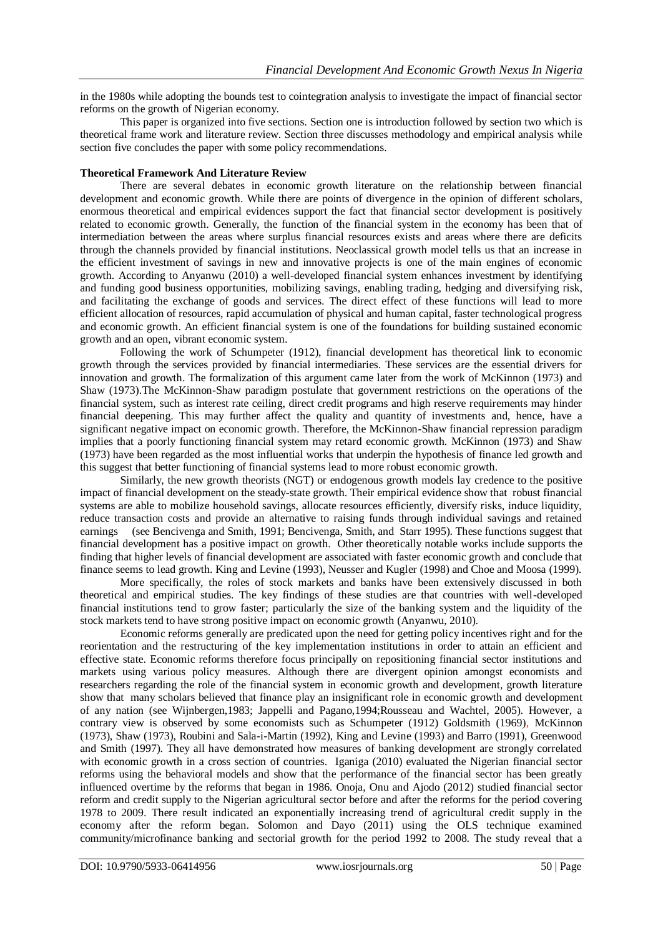in the 1980s while adopting the bounds test to cointegration analysis to investigate the impact of financial sector reforms on the growth of Nigerian economy.

This paper is organized into five sections. Section one is introduction followed by section two which is theoretical frame work and literature review. Section three discusses methodology and empirical analysis while section five concludes the paper with some policy recommendations.

#### **Theoretical Framework And Literature Review**

There are several debates in economic growth literature on the relationship between financial development and economic growth. While there are points of divergence in the opinion of different scholars, enormous theoretical and empirical evidences support the fact that financial sector development is positively related to economic growth. Generally, the function of the financial system in the economy has been that of intermediation between the areas where surplus financial resources exists and areas where there are deficits through the channels provided by financial institutions. Neoclassical growth model tells us that an increase in the efficient investment of savings in new and innovative projects is one of the main engines of economic growth. According to Anyanwu (2010) a well-developed financial system enhances investment by identifying and funding good business opportunities, mobilizing savings, enabling trading, hedging and diversifying risk, and facilitating the exchange of goods and services. The direct effect of these functions will lead to more efficient allocation of resources, rapid accumulation of physical and human capital, faster technological progress and economic growth. An efficient financial system is one of the foundations for building sustained economic growth and an open, vibrant economic system.

Following the work of Schumpeter (1912), financial development has theoretical link to economic growth through the services provided by financial intermediaries. These services are the essential drivers for innovation and growth. The formalization of this argument came later from the work of McKinnon (1973) and Shaw (1973).The McKinnon-Shaw paradigm postulate that government restrictions on the operations of the financial system, such as interest rate ceiling, direct credit programs and high reserve requirements may hinder financial deepening. This may further affect the quality and quantity of investments and, hence, have a significant negative impact on economic growth. Therefore, the McKinnon-Shaw financial repression paradigm implies that a poorly functioning financial system may retard economic growth. McKinnon (1973) and Shaw (1973) have been regarded as the most influential works that underpin the hypothesis of finance led growth and this suggest that better functioning of financial systems lead to more robust economic growth.

Similarly, the new growth theorists (NGT) or endogenous growth models lay credence to the positive impact of financial development on the steady-state growth. Their empirical evidence show that robust financial systems are able to mobilize household savings, allocate resources efficiently, diversify risks, induce liquidity, reduce transaction costs and provide an alternative to raising funds through individual savings and retained earnings (see Bencivenga and Smith, 1991; Bencivenga, Smith, and Starr 1995). These functions suggest that (see Bencivenga and Smith, 1991; Bencivenga, Smith, and Starr 1995). These functions suggest that financial development has a positive impact on growth. Other theoretically notable works include supports the finding that higher levels of financial development are associated with faster economic growth and conclude that finance seems to lead growth. King and Levine (1993), Neusser and Kugler (1998) and Choe and Moosa (1999).

More specifically, the roles of stock markets and banks have been extensively discussed in both theoretical and empirical studies. The key findings of these studies are that countries with well-developed financial institutions tend to grow faster; particularly the size of the banking system and the liquidity of the stock markets tend to have strong positive impact on economic growth (Anyanwu, 2010).

Economic reforms generally are predicated upon the need for getting policy incentives right and for the reorientation and the restructuring of the key implementation institutions in order to attain an efficient and effective state. Economic reforms therefore focus principally on repositioning financial sector institutions and markets using various policy measures. Although there are divergent opinion amongst economists and researchers regarding the role of the financial system in economic growth and development, growth literature show that many scholars believed that finance play an insignificant role in economic growth and development of any nation (see Wijnbergen,1983; Jappelli and Pagano,1994;Rousseau and Wachtel, 2005). However, a contrary view is observed by some economists such as Schumpeter (1912) Goldsmith (1969), McKinnon (1973), Shaw (1973), Roubini and Sala-i-Martin (1992), King and Levine (1993) and Barro (1991), Greenwood and Smith (1997). They all have demonstrated how measures of banking development are strongly correlated with economic growth in a cross section of countries. Iganiga (2010) evaluated the Nigerian financial sector reforms using the behavioral models and show that the performance of the financial sector has been greatly influenced overtime by the reforms that began in 1986. Onoja, Onu and Ajodo (2012) studied financial sector reform and credit supply to the Nigerian agricultural sector before and after the reforms for the period covering 1978 to 2009. There result indicated an exponentially increasing trend of agricultural credit supply in the economy after the reform began. Solomon and Dayo (2011) using the OLS technique examined community/microfinance banking and sectorial growth for the period 1992 to 2008. The study reveal that a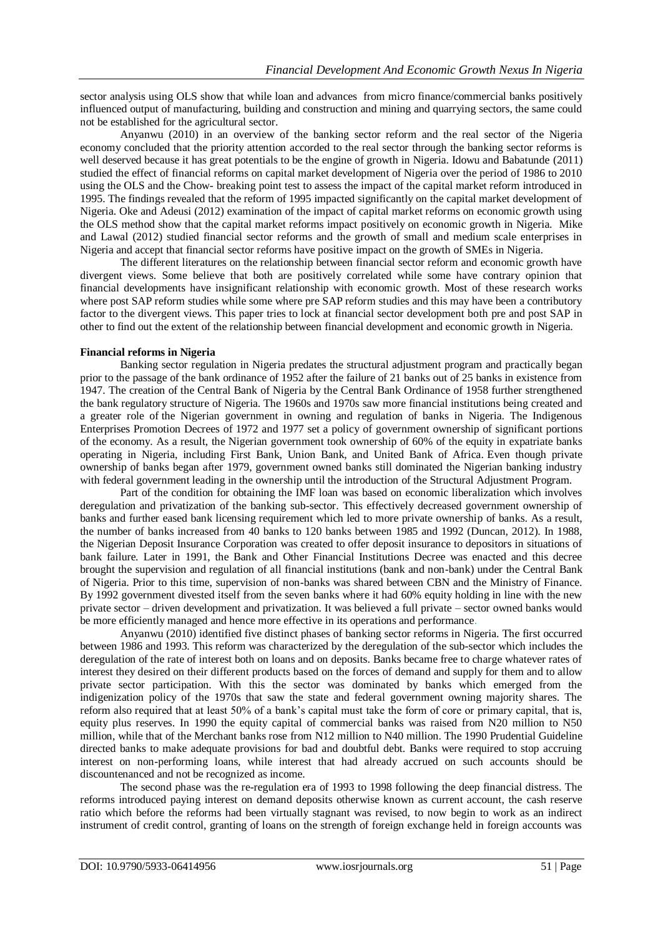sector analysis using OLS show that while loan and advances from micro finance/commercial banks positively influenced output of manufacturing, building and construction and mining and quarrying sectors, the same could not be established for the agricultural sector.

Anyanwu (2010) in an overview of the banking sector reform and the real sector of the Nigeria economy concluded that the priority attention accorded to the real sector through the banking sector reforms is well deserved because it has great potentials to be the engine of growth in Nigeria. Idowu and Babatunde (2011) studied the effect of financial reforms on capital market development of Nigeria over the period of 1986 to 2010 using the OLS and the Chow- breaking point test to assess the impact of the capital market reform introduced in 1995. The findings revealed that the reform of 1995 impacted significantly on the capital market development of Nigeria. Oke and Adeusi (2012) examination of the impact of capital market reforms on economic growth using the OLS method show that the capital market reforms impact positively on economic growth in Nigeria. Mike and Lawal (2012) studied financial sector reforms and the growth of small and medium scale enterprises in Nigeria and accept that financial sector reforms have positive impact on the growth of SMEs in Nigeria.

The different literatures on the relationship between financial sector reform and economic growth have divergent views. Some believe that both are positively correlated while some have contrary opinion that financial developments have insignificant relationship with economic growth. Most of these research works where post SAP reform studies while some where pre SAP reform studies and this may have been a contributory factor to the divergent views. This paper tries to lock at financial sector development both pre and post SAP in other to find out the extent of the relationship between financial development and economic growth in Nigeria.

### **Financial reforms in Nigeria**

Banking sector regulation in Nigeria predates the structural adjustment program and practically began prior to the passage of the bank ordinance of 1952 after the failure of 21 banks out of 25 banks in existence from 1947. The creation of the Central Bank of Nigeria by the Central Bank Ordinance of 1958 further strengthened the bank regulatory structure of Nigeria. The 1960s and 1970s saw more financial institutions being created and a greater role of the Nigerian government in owning and regulation of banks in Nigeria. The Indigenous Enterprises Promotion Decrees of 1972 and 1977 set a policy of government ownership of significant portions of the economy. As a result, the Nigerian government took ownership of 60% of the equity in expatriate banks operating in Nigeria, including First Bank, Union Bank, and United Bank of Africa. Even though private ownership of banks began after 1979, government owned banks still dominated the Nigerian banking industry with federal government leading in the ownership until the introduction of the Structural Adjustment Program.

Part of the condition for obtaining the IMF loan was based on economic liberalization which involves deregulation and privatization of the banking sub-sector. This effectively decreased government ownership of banks and further eased bank licensing requirement which led to more private ownership of banks. As a result, the number of banks increased from 40 banks to 120 banks between 1985 and 1992 (Duncan, 2012). In 1988, the Nigerian Deposit Insurance Corporation was created to offer deposit insurance to depositors in situations of bank failure. Later in 1991, the Bank and Other Financial Institutions Decree was enacted and this decree brought the supervision and regulation of all financial institutions (bank and non-bank) under the Central Bank of Nigeria. Prior to this time, supervision of non-banks was shared between CBN and the Ministry of Finance. By 1992 government divested itself from the seven banks where it had 60% equity holding in line with the new private sector – driven development and privatization. It was believed a full private – sector owned banks would be more efficiently managed and hence more effective in its operations and performance.

Anyanwu (2010) identified five distinct phases of banking sector reforms in Nigeria. The first occurred between 1986 and 1993. This reform was characterized by the deregulation of the sub-sector which includes the deregulation of the rate of interest both on loans and on deposits. Banks became free to charge whatever rates of interest they desired on their different products based on the forces of demand and supply for them and to allow private sector participation. With this the sector was dominated by banks which emerged from the indigenization policy of the 1970s that saw the state and federal government owning majority shares. The reform also required that at least 50% of a bank's capital must take the form of core or primary capital, that is, equity plus reserves. In 1990 the equity capital of commercial banks was raised from N20 million to N50 million, while that of the Merchant banks rose from N12 million to N40 million. The 1990 Prudential Guideline directed banks to make adequate provisions for bad and doubtful debt. Banks were required to stop accruing interest on non-performing loans, while interest that had already accrued on such accounts should be discountenanced and not be recognized as income.

The second phase was the re-regulation era of 1993 to 1998 following the deep financial distress. The reforms introduced paying interest on demand deposits otherwise known as current account, the cash reserve ratio which before the reforms had been virtually stagnant was revised, to now begin to work as an indirect instrument of credit control, granting of loans on the strength of foreign exchange held in foreign accounts was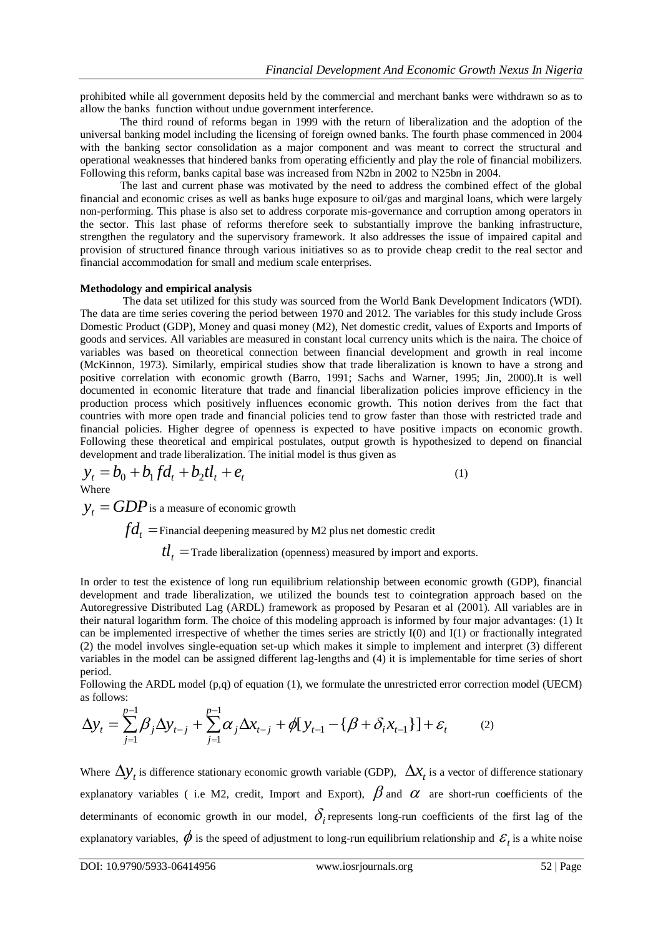prohibited while all government deposits held by the commercial and merchant banks were withdrawn so as to allow the banks function without undue government interference.

The third round of reforms began in 1999 with the return of liberalization and the adoption of the universal banking model including the licensing of foreign owned banks. The fourth phase commenced in 2004 with the banking sector consolidation as a major component and was meant to correct the structural and operational weaknesses that hindered banks from operating efficiently and play the role of financial mobilizers. Following this reform, banks capital base was increased from N2bn in 2002 to N25bn in 2004.

The last and current phase was motivated by the need to address the combined effect of the global financial and economic crises as well as banks huge exposure to oil/gas and marginal loans, which were largely non-performing. This phase is also set to address corporate mis-governance and corruption among operators in the sector. This last phase of reforms therefore seek to substantially improve the banking infrastructure, strengthen the regulatory and the supervisory framework. It also addresses the issue of impaired capital and provision of structured finance through various initiatives so as to provide cheap credit to the real sector and financial accommodation for small and medium scale enterprises.

### **Methodology and empirical analysis**

The data set utilized for this study was sourced from the World Bank Development Indicators (WDI). The data are time series covering the period between 1970 and 2012. The variables for this study include Gross Domestic Product (GDP), Money and quasi money (M2), Net domestic credit, values of Exports and Imports of goods and services. All variables are measured in constant local currency units which is the naira. The choice of variables was based on theoretical connection between financial development and growth in real income (McKinnon, 1973). Similarly, empirical studies show that trade liberalization is known to have a strong and positive correlation with economic growth (Barro, 1991; Sachs and Warner, 1995; Jin, 2000).It is well documented in economic literature that trade and financial liberalization policies improve efficiency in the production process which positively influences economic growth. This notion derives from the fact that countries with more open trade and financial policies tend to grow faster than those with restricted trade and financial policies. Higher degree of openness is expected to have positive impacts on economic growth. Following these theoretical and empirical postulates, output growth is hypothesized to depend on financial development and trade liberalization. The initial model is thus given as

$$
y_t = b_0 + b_1 f d_t + b_2 t l_t + e_t
$$
\n<sup>(1)</sup>

Where

 $y_t = GDP$  is a measure of economic growth  $fd_{t} =$ Financial deepening measured by M2 plus net domestic credit  $tl_{t}$  = Trade liberalization (openness) measured by import and exports.

In order to test the existence of long run equilibrium relationship between economic growth (GDP), financial development and trade liberalization, we utilized the bounds test to cointegration approach based on the Autoregressive Distributed Lag (ARDL) framework as proposed by Pesaran et al (2001). All variables are in their natural logarithm form. The choice of this modeling approach is informed by four major advantages: (1) It can be implemented irrespective of whether the times series are strictly  $I(0)$  and  $I(1)$  or fractionally integrated (2) the model involves single-equation set-up which makes it simple to implement and interpret (3) different variables in the model can be assigned different lag-lengths and (4) it is implementable for time series of short period.

Following the ARDL model (p,q) of equation (1), we formulate the unrestricted error correction model (UECM) as follows:

$$
\Delta y_t = \sum_{j=1}^{p-1} \beta_j \Delta y_{t-j} + \sum_{j=1}^{p-1} \alpha_j \Delta x_{t-j} + \phi [y_{t-1} - \{\beta + \delta_i x_{t-1}\}] + \varepsilon_t
$$
 (2)

Where  $\Delta y_t$  is difference stationary economic growth variable (GDP),  $\Delta x_t$  is a vector of difference stationary explanatory variables (i.e M2, credit, Import and Export),  $\beta$  and  $\alpha$  are short-run coefficients of the determinants of economic growth in our model,  $\delta_i$  represents long-run coefficients of the first lag of the explanatory variables,  $\phi$  is the speed of adjustment to long-run equilibrium relationship and  $\mathcal{E}_t$  is a white noise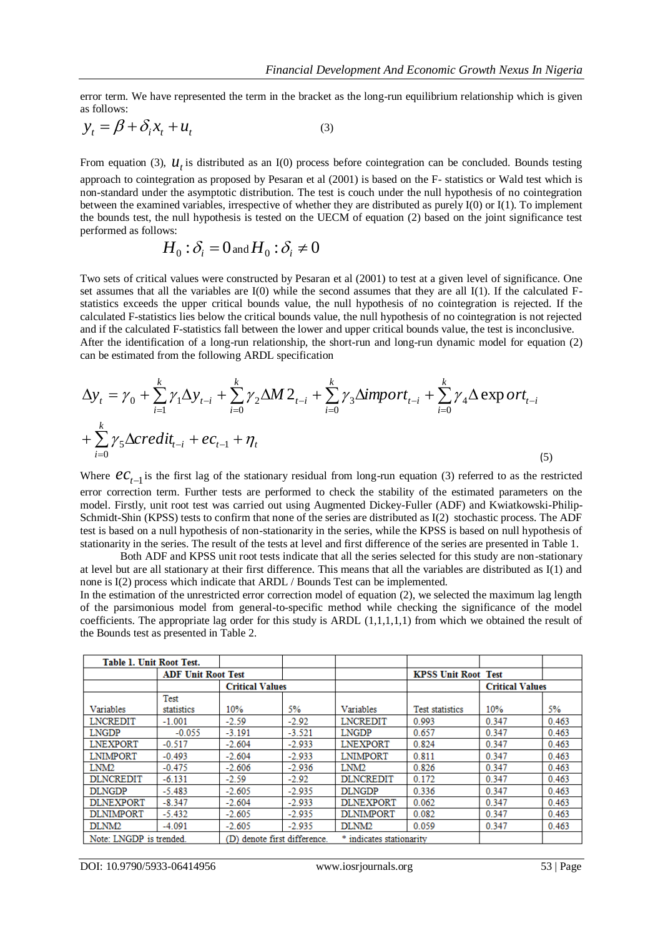error term. We have represented the term in the bracket as the long-run equilibrium relationship which is given as follows:

$$
y_t = \beta + \delta_i x_t + u_t \tag{3}
$$

From equation (3),  $u_t$  is distributed as an I(0) process before cointegration can be concluded. Bounds testing approach to cointegration as proposed by Pesaran et al (2001) is based on the F- statistics or Wald test which is non-standard under the asymptotic distribution. The test is couch under the null hypothesis of no cointegration between the examined variables, irrespective of whether they are distributed as purely I(0) or I(1). To implement the bounds test, the null hypothesis is tested on the UECM of equation (2) based on the joint significance test performed as follows:

$$
H_0: \delta_i = 0 \text{ and } H_0: \delta_i \neq 0
$$

Two sets of critical values were constructed by Pesaran et al (2001) to test at a given level of significance. One set assumes that all the variables are I(0) while the second assumes that they are all I(1). If the calculated Fstatistics exceeds the upper critical bounds value, the null hypothesis of no cointegration is rejected. If the calculated F-statistics lies below the critical bounds value, the null hypothesis of no cointegration is not rejected and if the calculated F-statistics fall between the lower and upper critical bounds value, the test is inconclusive. After the identification of a long-run relationship, the short-run and long-run dynamic model for equation (2) can be estimated from the following ARDL specification

$$
\Delta y_{t} = \gamma_{0} + \sum_{i=1}^{k} \gamma_{1} \Delta y_{t-i} + \sum_{i=0}^{k} \gamma_{2} \Delta M 2_{t-i} + \sum_{i=0}^{k} \gamma_{3} \Delta import_{t-i} + \sum_{i=0}^{k} \gamma_{4} \Delta \exp ort_{t-i} + \sum_{i=0}^{k} \gamma_{5} \Delta credit_{t-i} + ec_{t-1} + \eta_{t}
$$
\n(5)

Where  $\mathcal{C}C_{t-1}$  is the first lag of the stationary residual from long-run equation (3) referred to as the restricted error correction term. Further tests are performed to check the stability of the estimated parameters on the model. Firstly, unit root test was carried out using Augmented Dickey-Fuller (ADF) and Kwiatkowski-Philip-Schmidt-Shin (KPSS) tests to confirm that none of the series are distributed as I(2) stochastic process. The ADF test is based on a null hypothesis of non-stationarity in the series, while the KPSS is based on null hypothesis of stationarity in the series. The result of the tests at level and first difference of the series are presented in Table 1.

Both ADF and KPSS unit root tests indicate that all the series selected for this study are non-stationary at level but are all stationary at their first difference. This means that all the variables are distributed as I(1) and none is I(2) process which indicate that ARDL / Bounds Test can be implemented.

In the estimation of the unrestricted error correction model of equation (2), we selected the maximum lag length of the parsimonious model from general-to-specific method while checking the significance of the model coefficients. The appropriate lag order for this study is ARDL (1,1,1,1,1) from which we obtained the result of the Bounds test as presented in Table 2.

| <b>Table 1. Unit Root Test.</b> |                           |                        |                          |                          |                            |       |       |
|---------------------------------|---------------------------|------------------------|--------------------------|--------------------------|----------------------------|-------|-------|
|                                 | <b>ADF Unit Root Test</b> |                        |                          |                          | <b>KPSS Unit Root Test</b> |       |       |
|                                 |                           | <b>Critical Values</b> |                          |                          | <b>Critical Values</b>     |       |       |
|                                 | Test                      |                        |                          |                          |                            |       |       |
| Variables                       | statistics                | 10%                    | 5%                       | Variables                | <b>Test statistics</b>     | 10%   | 5%    |
| <b>LNCREDIT</b>                 | $-1.001$                  | $-2.59$                | $-2.92$                  | <b>LNCREDIT</b>          | 0.993                      | 0.347 | 0.463 |
| <b>LNGDP</b>                    | $-0.055$                  | $-3.191$               | $-3.521$                 | <b>LNGDP</b>             | 0.657                      | 0.347 | 0.463 |
| <b>LNEXPORT</b>                 | $-0.517$                  | $-2.604$               | $-2.933$                 | <b>LNEXPORT</b>          | 0.824                      | 0.347 | 0.463 |
| <b>LNIMPORT</b>                 | $-0.493$                  | $-2.604$               | $-2.933$                 | <b>LNIMPORT</b>          | 0.811                      | 0.347 | 0.463 |
| LNM <sub>2</sub>                | $-0.475$                  | $-2.606$               | $-2.936$                 | LNM <sub>2</sub>         | 0.826                      | 0.347 | 0.463 |
| <b>DLNCREDIT</b>                | $-6.131$                  | $-2.59$                | $-2.92$                  | <b>DLNCREDIT</b>         | 0.172                      | 0.347 | 0.463 |
| <b>DLNGDP</b>                   | $-5.483$                  | $-2.605$               | $-2.935$                 | <b>DLNGDP</b>            | 0.336                      | 0.347 | 0.463 |
| <b>DLNEXPORT</b>                | $-8.347$                  | $-2.604$               | $-2.933$                 | <b>DLNEXPORT</b>         | 0.062                      | 0.347 | 0.463 |
| <b>DLNIMPORT</b>                | $-5.432$                  | $-2.605$               | $-2.935$                 | <b>DLNIMPORT</b>         | 0.082                      | 0.347 | 0.463 |
| DLNM <sub>2</sub>               | $-4.091$                  | $-2.605$               | $-2.935$                 | DLNM <sub>2</sub>        | 0.059                      | 0.347 | 0.463 |
| Note: LNGDP is trended.         |                           | (D)                    | denote first difference. | * indicates stationarity |                            |       |       |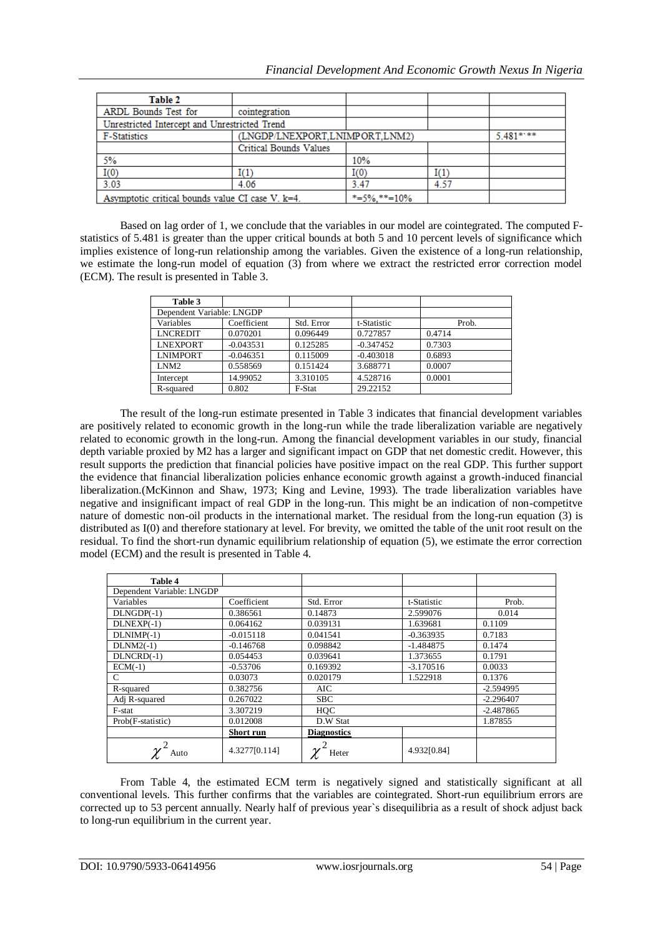| Table 2                                          |                                |               |      |           |
|--------------------------------------------------|--------------------------------|---------------|------|-----------|
| ARDL Bounds Test for                             | cointegration                  |               |      |           |
| Unrestricted Intercept and Unrestricted Trend    |                                |               |      |           |
| F-Statistics                                     | (LNGDP/LNEXPORT.LNIMPORT.LNM2) |               |      | 5.481**** |
|                                                  | <b>Critical Bounds Values</b>  |               |      |           |
| 5%                                               |                                | 10%           |      |           |
| I(0)                                             | I(1)                           | $_{\rm I(0)}$ | I(1) |           |
| 3.03                                             | 4.06                           | 3.47          | 4.57 |           |
| Asymptotic critical bounds value CI case V. k=4. | $*=5\%$ , $**=10\%$            |               |      |           |

Based on lag order of 1, we conclude that the variables in our model are cointegrated. The computed Fstatistics of 5.481 is greater than the upper critical bounds at both 5 and 10 percent levels of significance which implies existence of long-run relationship among the variables. Given the existence of a long-run relationship, we estimate the long-run model of equation (3) from where we extract the restricted error correction model (ECM). The result is presented in Table 3.

| Table 3                   |             |            |             |        |
|---------------------------|-------------|------------|-------------|--------|
| Dependent Variable: LNGDP |             |            |             |        |
| Variables                 | Coefficient | Std. Error | t-Statistic | Prob.  |
| <b>LNCREDIT</b>           | 0.070201    | 0.096449   | 0.727857    | 0.4714 |
| <b>LNEXPORT</b>           | $-0.043531$ | 0.125285   | $-0.347452$ | 0.7303 |
| <b>LNIMPORT</b>           | $-0.046351$ | 0.115009   | $-0.403018$ | 0.6893 |
| LNM <sub>2</sub>          | 0.558569    | 0.151424   | 3.688771    | 0.0007 |
| Intercept                 | 14.99052    | 3.310105   | 4.528716    | 0.0001 |
| R-squared                 | 0.802       | F-Stat     | 29.22152    |        |

The result of the long-run estimate presented in Table 3 indicates that financial development variables are positively related to economic growth in the long-run while the trade liberalization variable are negatively related to economic growth in the long-run. Among the financial development variables in our study, financial depth variable proxied by M2 has a larger and significant impact on GDP that net domestic credit. However, this result supports the prediction that financial policies have positive impact on the real GDP. This further support the evidence that financial liberalization policies enhance economic growth against a growth-induced financial liberalization.(McKinnon and Shaw, 1973; King and Levine, 1993). The trade liberalization variables have negative and insignificant impact of real GDP in the long-run. This might be an indication of non-competitve nature of domestic non-oil products in the international market. The residual from the long-run equation (3) is distributed as I(0) and therefore stationary at level. For brevity, we omitted the table of the unit root result on the residual. To find the short-run dynamic equilibrium relationship of equation (5), we estimate the error correction model (ECM) and the result is presented in Table 4.

| Table 4                   |                  |                    |             |             |
|---------------------------|------------------|--------------------|-------------|-------------|
| Dependent Variable: LNGDP |                  |                    |             |             |
| Variables                 | Coefficient      | Std. Error         | t-Statistic | Prob.       |
| $DLNGDP(-1)$              | 0.386561         | 0.14873            | 2.599076    | 0.014       |
| $DLNEXP(-1)$              | 0.064162         | 0.039131           | 1.639681    | 0.1109      |
| $DLNIMP(-1)$              | $-0.015118$      | 0.041541           | $-0.363935$ | 0.7183      |
| $DLNM2(-1)$               | $-0.146768$      | 0.098842           | $-1.484875$ | 0.1474      |
| DLNCRD(-1)                | 0.054453         | 0.039641           | 1.373655    | 0.1791      |
| $ECM(-1)$                 | $-0.53706$       | 0.169392           | $-3.170516$ | 0.0033      |
| C                         | 0.03073          | 0.020179           | 1.522918    | 0.1376      |
| R-squared                 | 0.382756         | AIC                |             | $-2.594995$ |
| Adj R-squared             | 0.267022         | <b>SBC</b>         |             | $-2.296407$ |
| F-stat                    | 3.307219         | HOC                |             | $-2.487865$ |
| Prob(F-statistic)         | 0.012008         | D.W Stat           |             | 1.87855     |
|                           | <b>Short run</b> | <b>Diagnostics</b> |             |             |
| Auto                      | 4.3277[0.114]    | Heter              | 4.932[0.84] |             |

From Table 4, the estimated ECM term is negatively signed and statistically significant at all conventional levels. This further confirms that the variables are cointegrated. Short-run equilibrium errors are corrected up to 53 percent annually. Nearly half of previous year`s disequilibria as a result of shock adjust back to long-run equilibrium in the current year.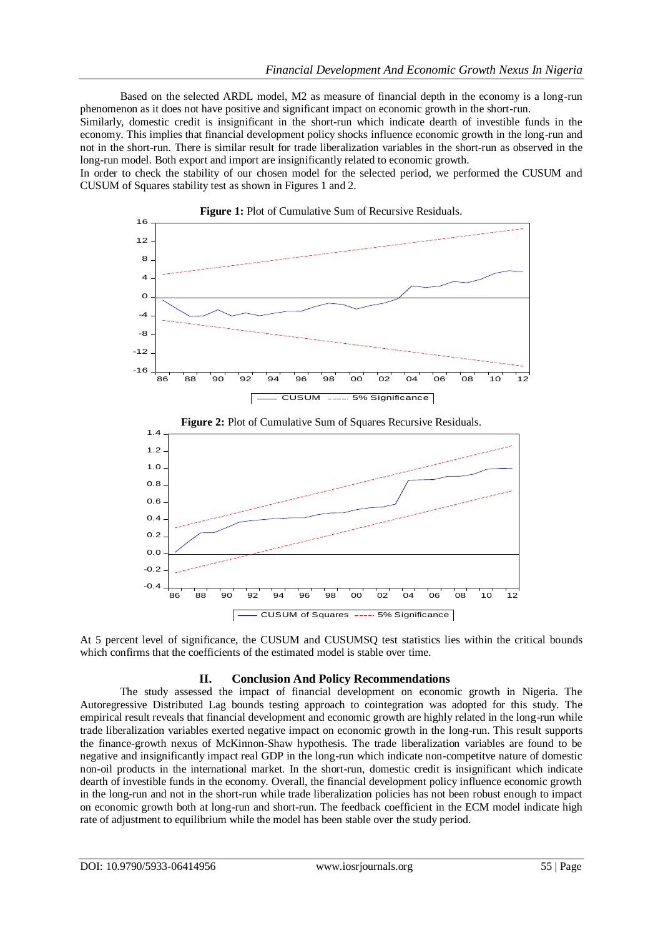Based on the selected ARDL model, M2 as measure of financial depth in the economy is a long-run phenomenon as it does not have positive and significant impact on economic growth in the short-run.

Similarly, domestic credit is insignificant in the short-run which indicate dearth of investible funds in the economy. This implies that financial development policy shocks influence economic growth in the long-run and not in the short-run. There is similar result for trade liberalization variables in the short-run as observed in the long-run model. Both export and import are insignificantly related to economic growth.

In order to check the stability of our chosen model for the selected period, we performed the CUSUM and CUSUM of Squares stability test as shown in Figures 1 and 2.



At 5 percent level of significance, the CUSUM and CUSUMSQ test statistics lies within the critical bounds which confirms that the coefficients of the estimated model is stable over time.

### **II. Conclusion And Policy Recommendations**

The study assessed the impact of financial development on economic growth in Nigeria. The Autoregressive Distributed Lag bounds testing approach to cointegration was adopted for this study. The empirical result reveals that financial development and economic growth are highly related in the long-run while trade liberalization variables exerted negative impact on economic growth in the long-run. This result supports the finance-growth nexus of McKinnon-Shaw hypothesis. The trade liberalization variables are found to be negative and insignificantly impact real GDP in the long-run which indicate non-competitve nature of domestic non-oil products in the international market. In the short-run, domestic credit is insignificant which indicate dearth of investible funds in the economy. Overall, the financial development policy influence economic growth in the long-run and not in the short-run while trade liberalization policies has not been robust enough to impact on economic growth both at long-run and short-run. The feedback coefficient in the ECM model indicate high rate of adjustment to equilibrium while the model has been stable over the study period.